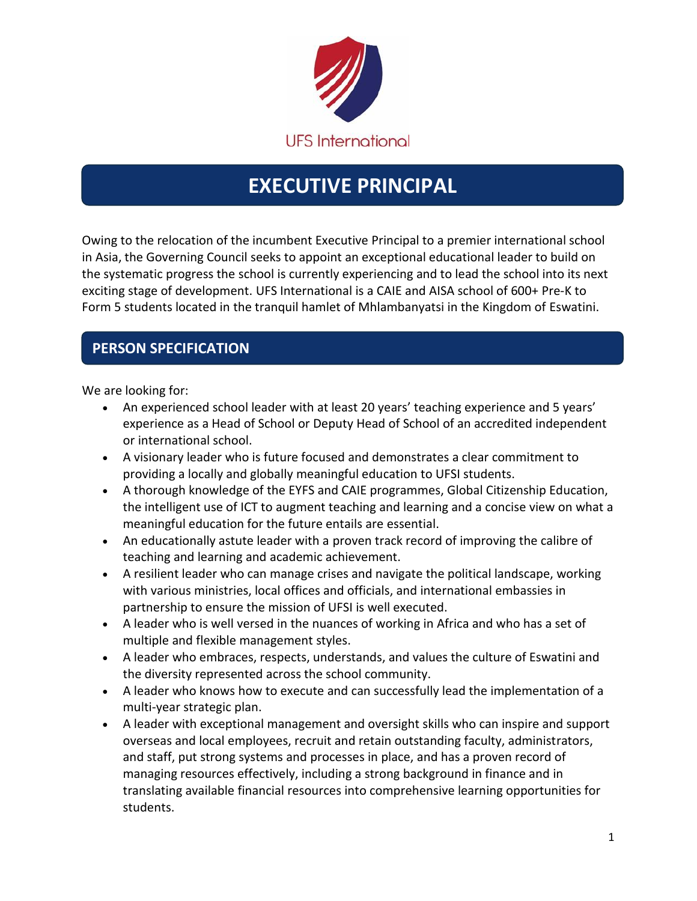

# **EXECUTIVE PRINCIPAL**

Owing to the relocation of the incumbent Executive Principal to a premier international school in Asia, the Governing Council seeks to appoint an exceptional educational leader to build on the systematic progress the school is currently experiencing and to lead the school into its next exciting stage of development. UFS International is a CAIE and AISA school of 600+ Pre-K to Form 5 students located in the tranquil hamlet of Mhlambanyatsi in the Kingdom of Eswatini.

## **PERSON SPECIFICATION**

We are looking for:

- An experienced school leader with at least 20 years' teaching experience and 5 years' experience as a Head of School or Deputy Head of School of an accredited independent or international school.
- A visionary leader who is future focused and demonstrates a clear commitment to providing a locally and globally meaningful education to UFSI students.
- A thorough knowledge of the EYFS and CAIE programmes, Global Citizenship Education, the intelligent use of ICT to augment teaching and learning and a concise view on what a meaningful education for the future entails are essential.
- An educationally astute leader with a proven track record of improving the calibre of teaching and learning and academic achievement.
- A resilient leader who can manage crises and navigate the political landscape, working with various ministries, local offices and officials, and international embassies in partnership to ensure the mission of UFSI is well executed.
- A leader who is well versed in the nuances of working in Africa and who has a set of multiple and flexible management styles.
- A leader who embraces, respects, understands, and values the culture of Eswatini and the diversity represented across the school community.
- A leader who knows how to execute and can successfully lead the implementation of a multi-year strategic plan.
- A leader with exceptional management and oversight skills who can inspire and support overseas and local employees, recruit and retain outstanding faculty, administrators, and staff, put strong systems and processes in place, and has a proven record of managing resources effectively, including a strong background in finance and in translating available financial resources into comprehensive learning opportunities for students.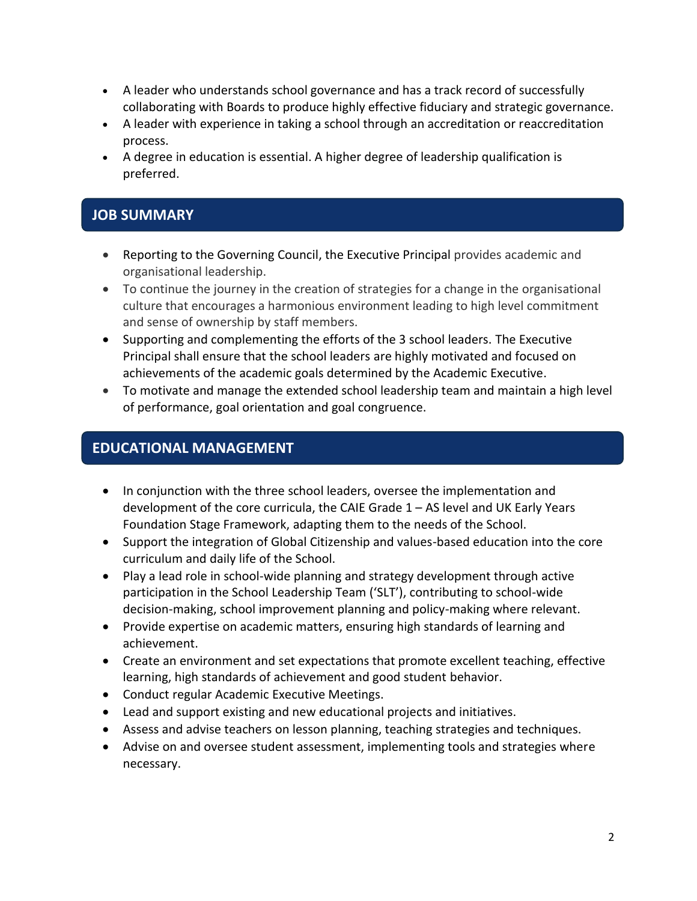- A leader who understands school governance and has a track record of successfully collaborating with Boards to produce highly effective fiduciary and strategic governance.
- A leader with experience in taking a school through an accreditation or reaccreditation process.
- A degree in education is essential. A higher degree of leadership qualification is preferred.

### **JOB SUMMARY**

- Reporting to the Governing Council, the Executive Principal provides academic and organisational leadership.
- To continue the journey in the creation of strategies for a change in the organisational culture that encourages a harmonious environment leading to high level commitment and sense of ownership by staff members.
- Supporting and complementing the efforts of the 3 school leaders. The Executive Principal shall ensure that the school leaders are highly motivated and focused on achievements of the academic goals determined by the Academic Executive.
- To motivate and manage the extended school leadership team and maintain a high level of performance, goal orientation and goal congruence.

### **EDUCATIONAL MANAGEMENT**

- In conjunction with the three school leaders, oversee the implementation and development of the core curricula, the CAIE Grade 1 – AS level and UK Early Years Foundation Stage Framework, adapting them to the needs of the School.
- Support the integration of Global Citizenship and values-based education into the core curriculum and daily life of the School.
- Play a lead role in school-wide planning and strategy development through active participation in the School Leadership Team ('SLT'), contributing to school-wide decision-making, school improvement planning and policy-making where relevant.
- Provide expertise on academic matters, ensuring high standards of learning and achievement.
- Create an environment and set expectations that promote excellent teaching, effective learning, high standards of achievement and good student behavior.
- Conduct regular Academic Executive Meetings.
- Lead and support existing and new educational projects and initiatives.
- Assess and advise teachers on lesson planning, teaching strategies and techniques.
- Advise on and oversee student assessment, implementing tools and strategies where necessary.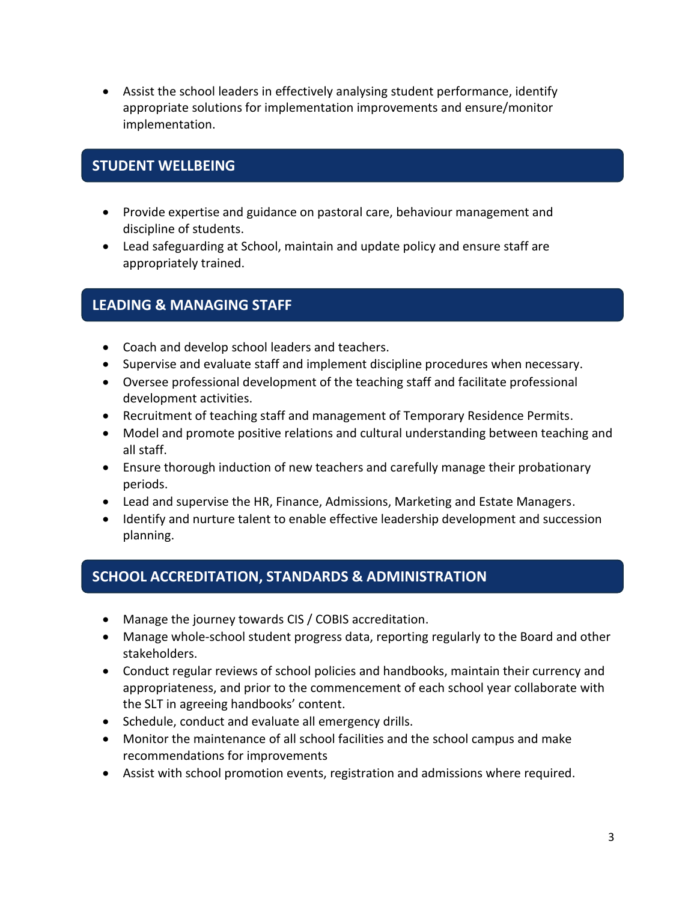Assist the school leaders in effectively analysing student performance, identify appropriate solutions for implementation improvements and ensure/monitor implementation.

#### **STUDENT WELLBEING**

- Provide expertise and guidance on pastoral care, behaviour management and discipline of students.
- Lead safeguarding at School, maintain and update policy and ensure staff are appropriately trained.

#### **LEADING & MANAGING STAFF**

- Coach and develop school leaders and teachers.
- Supervise and evaluate staff and implement discipline procedures when necessary.
- Oversee professional development of the teaching staff and facilitate professional development activities.
- Recruitment of teaching staff and management of Temporary Residence Permits.
- Model and promote positive relations and cultural understanding between teaching and all staff.
- Ensure thorough induction of new teachers and carefully manage their probationary periods.
- Lead and supervise the HR, Finance, Admissions, Marketing and Estate Managers.
- Identify and nurture talent to enable effective leadership development and succession planning.

#### **SCHOOL ACCREDITATION, STANDARDS & ADMINISTRATION**

- Manage the journey towards CIS / COBIS accreditation.
- Manage whole-school student progress data, reporting regularly to the Board and other stakeholders.
- Conduct regular reviews of school policies and handbooks, maintain their currency and appropriateness, and prior to the commencement of each school year collaborate with the SLT in agreeing handbooks' content.
- Schedule, conduct and evaluate all emergency drills.
- Monitor the maintenance of all school facilities and the school campus and make recommendations for improvements
- Assist with school promotion events, registration and admissions where required.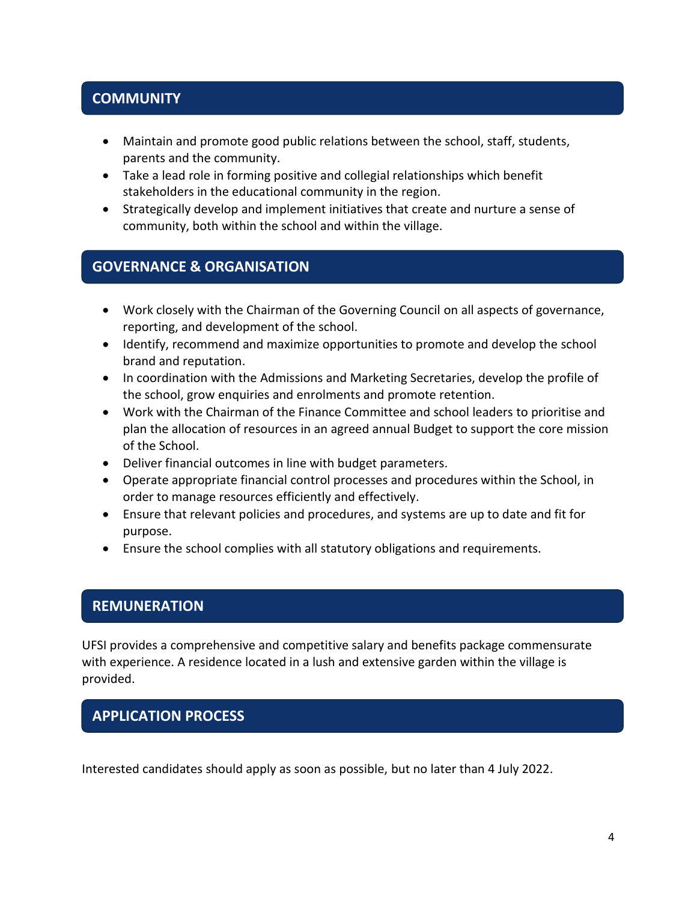### **COMMUNITY**

- Maintain and promote good public relations between the school, staff, students, parents and the community.
- Take a lead role in forming positive and collegial relationships which benefit stakeholders in the educational community in the region.
- Strategically develop and implement initiatives that create and nurture a sense of community, both within the school and within the village.

#### **GOVERNANCE & ORGANISATION**

- Work closely with the Chairman of the Governing Council on all aspects of governance, reporting, and development of the school.
- Identify, recommend and maximize opportunities to promote and develop the school brand and reputation.
- In coordination with the Admissions and Marketing Secretaries, develop the profile of the school, grow enquiries and enrolments and promote retention.
- Work with the Chairman of the Finance Committee and school leaders to prioritise and plan the allocation of resources in an agreed annual Budget to support the core mission of the School.
- Deliver financial outcomes in line with budget parameters.
- Operate appropriate financial control processes and procedures within the School, in order to manage resources efficiently and effectively.
- Ensure that relevant policies and procedures, and systems are up to date and fit for purpose.
- Ensure the school complies with all statutory obligations and requirements.

#### **REMUNERATION**

UFSI provides a comprehensive and competitive salary and benefits package commensurate with experience. A residence located in a lush and extensive garden within the village is provided.

#### **APPLICATION PROCESS**

Interested candidates should apply as soon as possible, but no later than 4 July 2022.